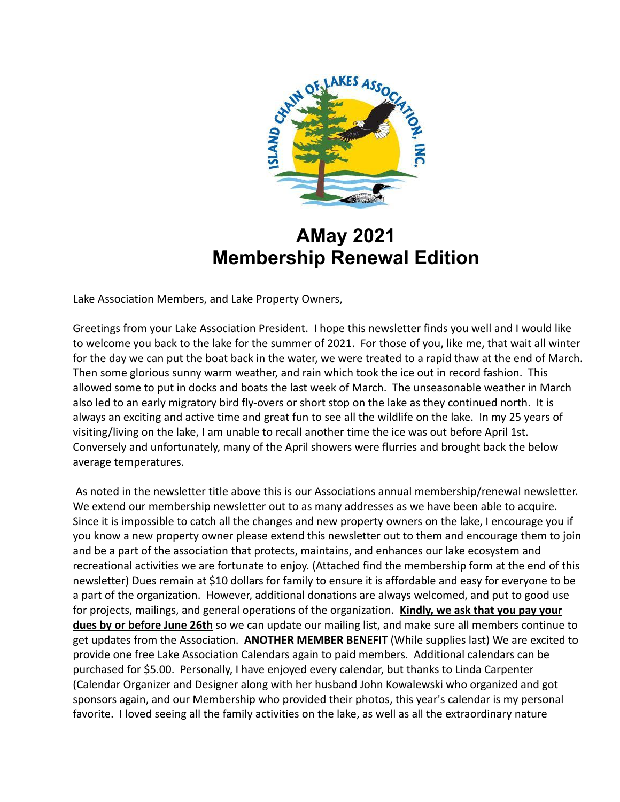

# **AMay 2021 Membership Renewal Edition**

Lake Association Members, and Lake Property Owners,

Greetings from your Lake Association President. I hope this newsletter finds you well and I would like to welcome you back to the lake for the summer of 2021. For those of you, like me, that wait all winter for the day we can put the boat back in the water, we were treated to a rapid thaw at the end of March. Then some glorious sunny warm weather, and rain which took the ice out in record fashion. This allowed some to put in docks and boats the last week of March. The unseasonable weather in March also led to an early migratory bird fly-overs or short stop on the lake as they continued north. It is always an exciting and active time and great fun to see all the wildlife on the lake. In my 25 years of visiting/living on the lake, I am unable to recall another time the ice was out before April 1st. Conversely and unfortunately, many of the April showers were flurries and brought back the below average temperatures.

As noted in the newsletter title above this is our Associations annual membership/renewal newsletter. We extend our membership newsletter out to as many addresses as we have been able to acquire. Since it is impossible to catch all the changes and new property owners on the lake, I encourage you if you know a new property owner please extend this newsletter out to them and encourage them to join and be a part of the association that protects, maintains, and enhances our lake ecosystem and recreational activities we are fortunate to enjoy. (Attached find the membership form at the end of this newsletter) Dues remain at \$10 dollars for family to ensure it is affordable and easy for everyone to be a part of the organization. However, additional donations are always welcomed, and put to good use for projects, mailings, and general operations of the organization. **Kindly, we ask that you pay your dues by or before June 26th** so we can update our mailing list, and make sure all members continue to get updates from the Association. **ANOTHER MEMBER BENEFIT** (While supplies last) We are excited to provide one free Lake Association Calendars again to paid members. Additional calendars can be purchased for \$5.00. Personally, I have enjoyed every calendar, but thanks to Linda Carpenter (Calendar Organizer and Designer along with her husband John Kowalewski who organized and got sponsors again, and our Membership who provided their photos, this year's calendar is my personal favorite. I loved seeing all the family activities on the lake, as well as all the extraordinary nature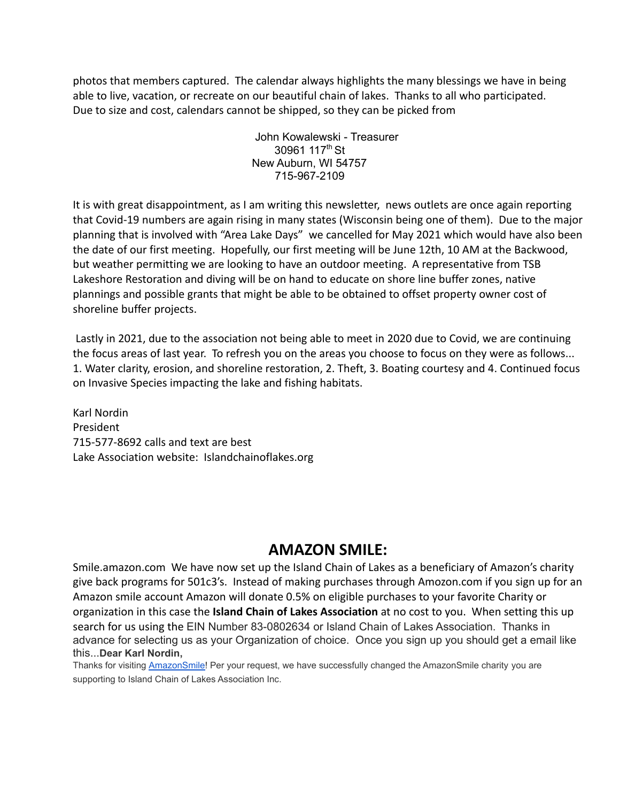photos that members captured. The calendar always highlights the many blessings we have in being able to live, vacation, or recreate on our beautiful chain of lakes. Thanks to all who participated. Due to size and cost, calendars cannot be shipped, so they can be picked from

> John Kowalewski - Treasurer 30961 117<sup>th</sup> St New Auburn, WI 54757 715-967-2109

It is with great disappointment, as I am writing this newsletter, news outlets are once again reporting that Covid-19 numbers are again rising in many states (Wisconsin being one of them). Due to the major planning that is involved with "Area Lake Days" we cancelled for May 2021 which would have also been the date of our first meeting. Hopefully, our first meeting will be June 12th, 10 AM at the Backwood, but weather permitting we are looking to have an outdoor meeting. A representative from TSB Lakeshore Restoration and diving will be on hand to educate on shore line buffer zones, native plannings and possible grants that might be able to be obtained to offset property owner cost of shoreline buffer projects.

Lastly in 2021, due to the association not being able to meet in 2020 due to Covid, we are continuing the focus areas of last year. To refresh you on the areas you choose to focus on they were as follows... 1. Water clarity, erosion, and shoreline restoration, 2. Theft, 3. Boating courtesy and 4. Continued focus on Invasive Species impacting the lake and fishing habitats.

Karl Nordin President 715-577-8692 calls and text are best Lake Association website: Islandchainoflakes.org

### **AMAZON SMILE:**

Smile.amazon.com We have now set up the Island Chain of Lakes as a beneficiary of Amazon's charity give back programs for 501c3's. Instead of making purchases through Amozon.com if you sign up for an Amazon smile account Amazon will donate 0.5% on eligible purchases to your favorite Charity or organization in this case the **Island Chain of Lakes Association** at no cost to you. When setting this up search for us using the EIN Number 83-0802634 or Island Chain of Lakes Association. Thanks in advance for selecting us as your Organization of choice. Once you sign up you should get a email like this...**Dear Karl Nordin,**

Thanks for visiting **[AmazonSmile!](https://www.amazon.com/gp/f.html?C=23FDTID6XJWLZ&K=2QM18UT9EAS9L&M=urn:rtn:msg:20210426194952eb976c1f57714d29a4a27e5d5000p0na&R=AHM872WKTXBK&T=C&U=https%3A%2F%2Fsmile.amazon.com%2Fref%3Dpe_830720_137586720_smi_em_ccc_l1_smi&H=WFVXWTSEEAUWHZ2LTJITWUQRJWKA&ref_=pe_830720_137586720_smi_em_ccc_l1_smi)** Per your request, we have successfully changed the AmazonSmile charity you are supporting to Island Chain of Lakes Association Inc.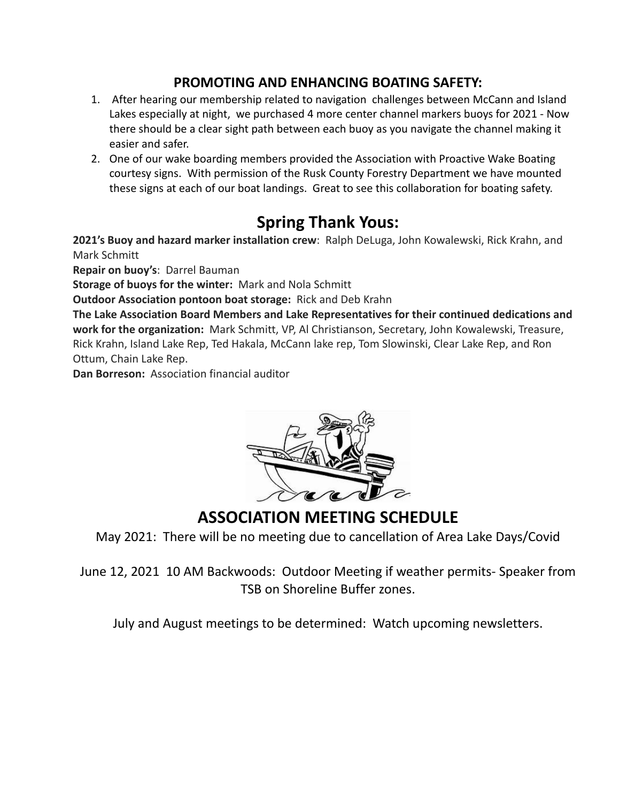#### **PROMOTING AND ENHANCING BOATING SAFETY:**

- 1. After hearing our membership related to navigation challenges between McCann and Island Lakes especially at night, we purchased 4 more center channel markers buoys for 2021 - Now there should be a clear sight path between each buoy as you navigate the channel making it easier and safer.
- 2. One of our wake boarding members provided the Association with Proactive Wake Boating courtesy signs. With permission of the Rusk County Forestry Department we have mounted these signs at each of our boat landings. Great to see this collaboration for boating safety.

## **Spring Thank Yous:**

**2021's Buoy and hazard marker installation crew**: Ralph DeLuga, John Kowalewski, Rick Krahn, and Mark Schmitt

**Repair on buoy's**: Darrel Bauman

**Storage of buoys for the winter:** Mark and Nola Schmitt

**Outdoor Association pontoon boat storage:** Rick and Deb Krahn

**The Lake Association Board Members and Lake Representatives for their continued dedications and work for the organization:** Mark Schmitt, VP, Al Christianson, Secretary, John Kowalewski, Treasure, Rick Krahn, Island Lake Rep, Ted Hakala, McCann lake rep, Tom Slowinski, Clear Lake Rep, and Ron Ottum, Chain Lake Rep.

**Dan Borreson:** Association financial auditor



**ASSOCIATION MEETING SCHEDULE**

May 2021: There will be no meeting due to cancellation of Area Lake Days/Covid

June 12, 2021 10 AM Backwoods: Outdoor Meeting if weather permits- Speaker from TSB on Shoreline Buffer zones.

July and August meetings to be determined: Watch upcoming newsletters.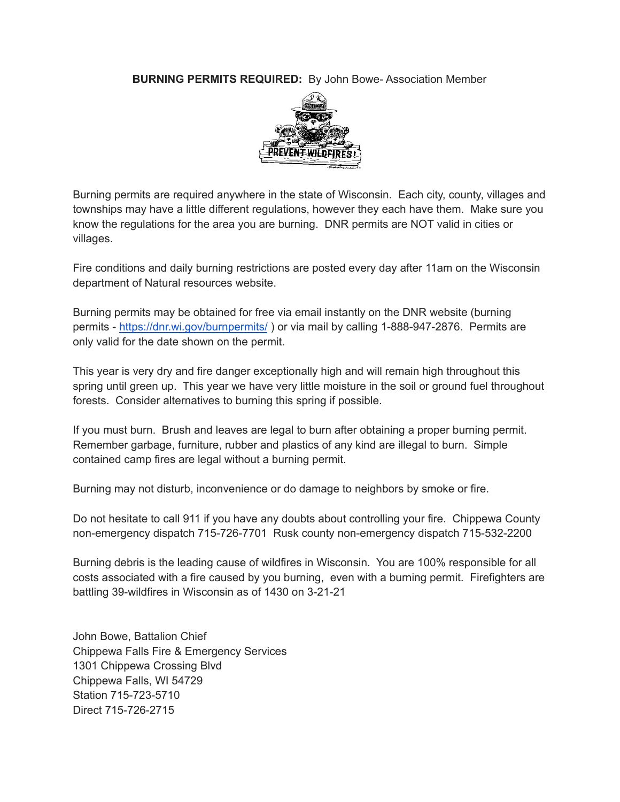**BURNING PERMITS REQUIRED:** By John Bowe- Association Member



Burning permits are required anywhere in the state of Wisconsin. Each city, county, villages and townships may have a little different regulations, however they each have them. Make sure you know the regulations for the area you are burning. DNR permits are NOT valid in cities or villages.

Fire conditions and daily burning restrictions are posted every day after 11am on the Wisconsin department of Natural resources website.

Burning permits may be obtained for free via email instantly on the DNR website (burning permits - <https://dnr.wi.gov/burnpermits/> ) or via mail by calling 1-888-947-2876. Permits are only valid for the date shown on the permit.

This year is very dry and fire danger exceptionally high and will remain high throughout this spring until green up. This year we have very little moisture in the soil or ground fuel throughout forests. Consider alternatives to burning this spring if possible.

If you must burn. Brush and leaves are legal to burn after obtaining a proper burning permit. Remember garbage, furniture, rubber and plastics of any kind are illegal to burn. Simple contained camp fires are legal without a burning permit.

Burning may not disturb, inconvenience or do damage to neighbors by smoke or fire.

Do not hesitate to call 911 if you have any doubts about controlling your fire. Chippewa County non-emergency dispatch 715-726-7701 Rusk county non-emergency dispatch 715-532-2200

Burning debris is the leading cause of wildfires in Wisconsin. You are 100% responsible for all costs associated with a fire caused by you burning, even with a burning permit. Firefighters are battling 39-wildfires in Wisconsin as of 1430 on 3-21-21

John Bowe, Battalion Chief Chippewa Falls Fire & Emergency Services 1301 Chippewa Crossing Blvd Chippewa Falls, WI 54729 Station 715-723-5710 Direct 715-726-2715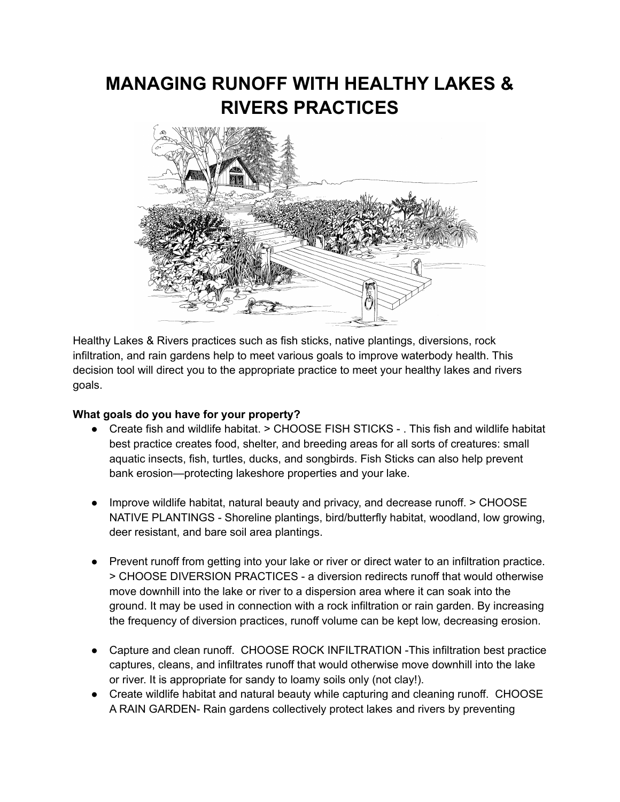# **MANAGING RUNOFF WITH HEALTHY LAKES & RIVERS PRACTICES**



Healthy Lakes & Rivers practices such as fish sticks, native plantings, diversions, rock infiltration, and rain gardens help to meet various goals to improve waterbody health. This decision tool will direct you to the appropriate practice to meet your healthy lakes and rivers goals.

#### **What goals do you have for your property?**

- Create fish and wildlife habitat. > CHOOSE FISH STICKS . This fish and wildlife habitat best practice creates food, shelter, and breeding areas for all sorts of creatures: small aquatic insects, fish, turtles, ducks, and songbirds. Fish Sticks can also help prevent bank erosion—protecting lakeshore properties and your lake.
- Improve wildlife habitat, natural beauty and privacy, and decrease runoff. > CHOOSE NATIVE PLANTINGS - Shoreline plantings, bird/butterfly habitat, woodland, low growing, deer resistant, and bare soil area plantings.
- Prevent runoff from getting into your lake or river or direct water to an infiltration practice. > CHOOSE DIVERSION PRACTICES - a diversion redirects runoff that would otherwise move downhill into the lake or river to a dispersion area where it can soak into the ground. It may be used in connection with a rock infiltration or rain garden. By increasing the frequency of diversion practices, runoff volume can be kept low, decreasing erosion.
- Capture and clean runoff. CHOOSE ROCK INFILTRATION -This infiltration best practice captures, cleans, and infiltrates runoff that would otherwise move downhill into the lake or river. It is appropriate for sandy to loamy soils only (not clay!).
- Create wildlife habitat and natural beauty while capturing and cleaning runoff. CHOOSE A RAIN GARDEN- Rain gardens collectively protect lakes and rivers by preventing